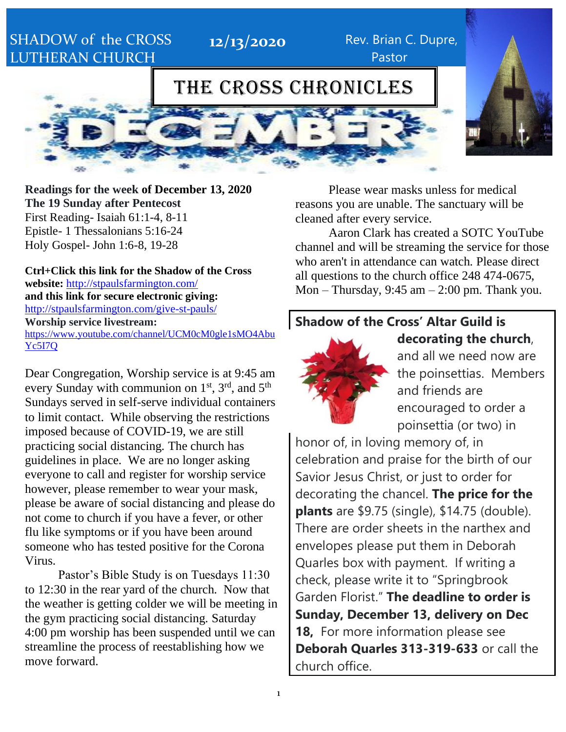## SHADOW of the CROSS LUTHERAN CHURCH

**12/13/2020** Rev. Brian C. Dupre, Pastor

## THE CROSS CHRONICLES



**Readings for the week of December 13, 2020 The 19 Sunday after Pentecost** First Reading- Isaiah 61:1-4, 8-11 Epistle- 1 Thessalonians 5:16-24 Holy Gospel- John 1:6-8, 19-28

**Ctrl+Click this link for the Shadow of the Cross website:** <http://stpaulsfarmington.com/> **and this link for secure electronic giving:** <http://stpaulsfarmington.com/give-st-pauls/> **Worship service livestream:**  [https://www.youtube.com/channel/UCM0cM0gle1sMO4Abu](https://www.youtube.com/channel/UCM0cM0gle1sMO4AbuYc5I7Q) [Yc5I7Q](https://www.youtube.com/channel/UCM0cM0gle1sMO4AbuYc5I7Q)

Dear Congregation, Worship service is at 9:45 am every Sunday with communion on 1<sup>st</sup>, 3<sup>rd</sup>, and 5<sup>th</sup> Sundays served in self-serve individual containers to limit contact. While observing the restrictions imposed because of COVID-19, we are still practicing social distancing. The church has guidelines in place. We are no longer asking everyone to call and register for worship service however, please remember to wear your mask, please be aware of social distancing and please do not come to church if you have a fever, or other flu like symptoms or if you have been around someone who has tested positive for the Corona Virus.

Pastor's Bible Study is on Tuesdays 11:30 to 12:30 in the rear yard of the church. Now that the weather is getting colder we will be meeting in the gym practicing social distancing. Saturday 4:00 pm worship has been suspended until we can streamline the process of reestablishing how we move forward.

Please wear masks unless for medical reasons you are unable. The sanctuary will be cleaned after every service.

Aaron Clark has created a SOTC YouTube channel and will be streaming the service for those who aren't in attendance can watch. Please direct all questions to the church office 248 474-0675, Mon – Thursday,  $9:45$  am –  $2:00$  pm. Thank you.

### **Shadow of the Cross' Altar Guild is**



and all we need now are the poinsettias. Members and friends are encouraged to order a poinsettia (or two) in

**decorating the church**,

honor of, in loving memory of, in celebration and praise for the birth of our Savior Jesus Christ, or just to order for decorating the chancel. **The price for the plants** are \$9.75 (single), \$14.75 (double). There are order sheets in the narthex and envelopes please put them in Deborah Quarles box with payment. If writing a check, please write it to "Springbrook Garden Florist." **The deadline to order is Sunday, December 13, delivery on Dec 18,** For more information please see **Deborah Quarles 313-319-633** or call the church office.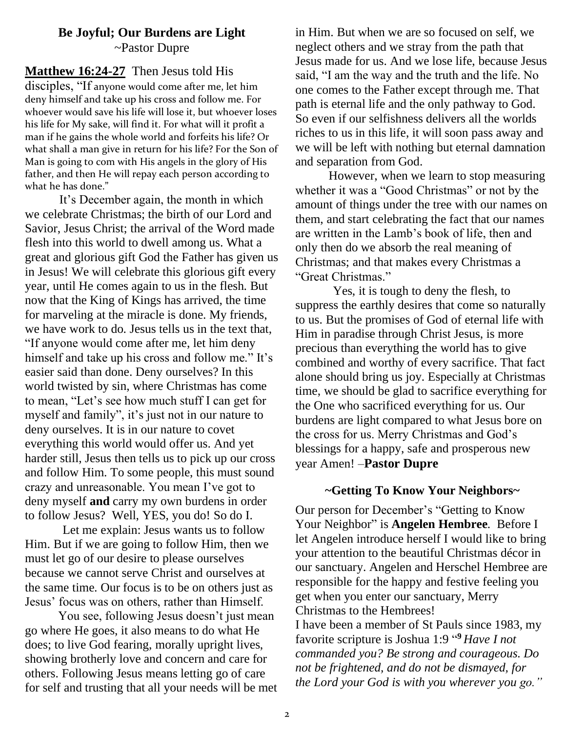### **Be Joyful; Our Burdens are Light** ~Pastor Dupre

### **Matthew 16:24-27** Then Jesus told His

disciples, "If anyone would come after me, let him deny himself and take up his cross and follow me. For whoever would save his life will lose it, but whoever loses his life for My sake, will find it. For what will it profit a man if he gains the whole world and forfeits his life? Or what shall a man give in return for his life? For the Son of Man is going to com with His angels in the glory of His father, and then He will repay each person according to what he has done."

It's December again, the month in which we celebrate Christmas; the birth of our Lord and Savior, Jesus Christ; the arrival of the Word made flesh into this world to dwell among us. What a great and glorious gift God the Father has given us in Jesus! We will celebrate this glorious gift every year, until He comes again to us in the flesh. But now that the King of Kings has arrived, the time for marveling at the miracle is done. My friends, we have work to do. Jesus tells us in the text that, "If anyone would come after me, let him deny himself and take up his cross and follow me." It's easier said than done. Deny ourselves? In this world twisted by sin, where Christmas has come to mean, "Let's see how much stuff I can get for myself and family", it's just not in our nature to deny ourselves. It is in our nature to covet everything this world would offer us. And yet harder still, Jesus then tells us to pick up our cross and follow Him. To some people, this must sound crazy and unreasonable. You mean I've got to deny myself **and** carry my own burdens in order to follow Jesus? Well, YES, you do! So do I.

Let me explain: Jesus wants us to follow Him. But if we are going to follow Him, then we must let go of our desire to please ourselves because we cannot serve Christ and ourselves at the same time. Our focus is to be on others just as Jesus' focus was on others, rather than Himself.

You see, following Jesus doesn't just mean go where He goes, it also means to do what He does; to live God fearing, morally upright lives, showing brotherly love and concern and care for others. Following Jesus means letting go of care for self and trusting that all your needs will be met in Him. But when we are so focused on self, we neglect others and we stray from the path that Jesus made for us. And we lose life, because Jesus said, "I am the way and the truth and the life. No one comes to the Father except through me. That path is eternal life and the only pathway to God. So even if our selfishness delivers all the worlds riches to us in this life, it will soon pass away and we will be left with nothing but eternal damnation and separation from God.

However, when we learn to stop measuring whether it was a "Good Christmas" or not by the amount of things under the tree with our names on them, and start celebrating the fact that our names are written in the Lamb's book of life, then and only then do we absorb the real meaning of Christmas; and that makes every Christmas a "Great Christmas."

Yes, it is tough to deny the flesh, to suppress the earthly desires that come so naturally to us. But the promises of God of eternal life with Him in paradise through Christ Jesus, is more precious than everything the world has to give combined and worthy of every sacrifice. That fact alone should bring us joy. Especially at Christmas time, we should be glad to sacrifice everything for the One who sacrificed everything for us. Our burdens are light compared to what Jesus bore on the cross for us. Merry Christmas and God's blessings for a happy, safe and prosperous new year Amen! –**Pastor Dupre**

#### **~Getting To Know Your Neighbors~**

Our person for December's "Getting to Know Your Neighbor" is **Angelen Hembree**. Before I let Angelen introduce herself I would like to bring your attention to the beautiful Christmas décor in our sanctuary. Angelen and Herschel Hembree are responsible for the happy and festive feeling you get when you enter our sanctuary, Merry Christmas to the Hembrees! I have been a member of St Pauls since 1983, my favorite scripture is Joshua 1:9 " **<sup>9</sup>** *Have I not commanded you? Be strong and courageous. Do* 

*not be frightened, and do not be dismayed, for the Lord your God is with you wherever you go."*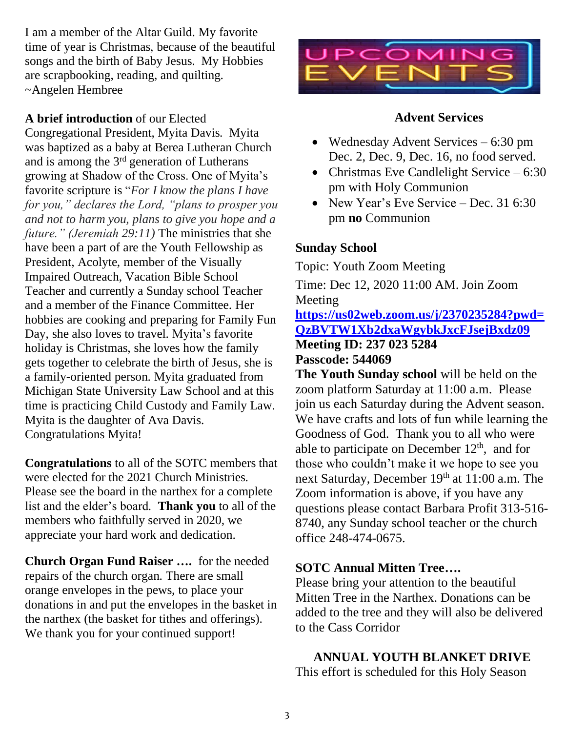I am a member of the Altar Guild. My favorite time of year is Christmas, because of the beautiful songs and the birth of Baby Jesus. My Hobbies are scrapbooking, reading, and quilting. ~Angelen Hembree

### **A brief introduction** of our Elected

Congregational President, Myita Davis. Myita was baptized as a baby at Berea Lutheran Church and is among the 3<sup>rd</sup> generation of Lutherans growing at Shadow of the Cross. One of Myita's favorite scripture is "*For I know the plans I have for you," declares the Lord, "plans to prosper you and not to harm you, plans to give you hope and a future." (Jeremiah 29:11)* The ministries that she have been a part of are the Youth Fellowship as President, Acolyte, member of the Visually Impaired Outreach, Vacation Bible School Teacher and currently a Sunday school Teacher and a member of the Finance Committee. Her hobbies are cooking and preparing for Family Fun Day, she also loves to travel. Myita's favorite holiday is Christmas, she loves how the family gets together to celebrate the birth of Jesus, she is a family-oriented person. Myita graduated from Michigan State University Law School and at this time is practicing Child Custody and Family Law. Myita is the daughter of Ava Davis. Congratulations Myita!

**Congratulations** to all of the SOTC members that were elected for the 2021 Church Ministries. Please see the board in the narthex for a complete list and the elder's board. **Thank you** to all of the members who faithfully served in 2020, we appreciate your hard work and dedication.

**Church Organ Fund Raiser ….** for the needed repairs of the church organ. There are small orange envelopes in the pews, to place your donations in and put the envelopes in the basket in the narthex (the basket for tithes and offerings). We thank you for your continued support!



### **Advent Services**

- Wednesday Advent Services 6:30 pm Dec. 2, Dec. 9, Dec. 16, no food served.
- Christmas Eve Candlelight Service  $-6:30$ pm with Holy Communion
- New Year's Eve Service Dec. 31 6:30 pm **no** Communion

### **Sunday School**

Topic: Youth Zoom Meeting

Time: Dec 12, 2020 11:00 AM. Join Zoom Meeting **[https://us02web.zoom.us/j/2370235284?pwd=](https://us02web.zoom.us/j/2370235284?pwd=QzBVTW1Xb2dxaWgybkJxcFJsejBxdz09) [QzBVTW1Xb2dxaWgybkJxcFJsejBxdz09](https://us02web.zoom.us/j/2370235284?pwd=QzBVTW1Xb2dxaWgybkJxcFJsejBxdz09)** 

## **Meeting ID: 237 023 5284**

### **Passcode: 544069**

**The Youth Sunday school** will be held on the zoom platform Saturday at 11:00 a.m. Please join us each Saturday during the Advent season. We have crafts and lots of fun while learning the Goodness of God. Thank you to all who were able to participate on December  $12<sup>th</sup>$ , and for those who couldn't make it we hope to see you next Saturday, December 19th at 11:00 a.m. The Zoom information is above, if you have any questions please contact Barbara Profit 313-516- 8740, any Sunday school teacher or the church office 248-474-0675.

### **SOTC Annual Mitten Tree….**

Please bring your attention to the beautiful Mitten Tree in the Narthex. Donations can be added to the tree and they will also be delivered to the Cass Corridor

## **ANNUAL YOUTH BLANKET DRIVE**

This effort is scheduled for this Holy Season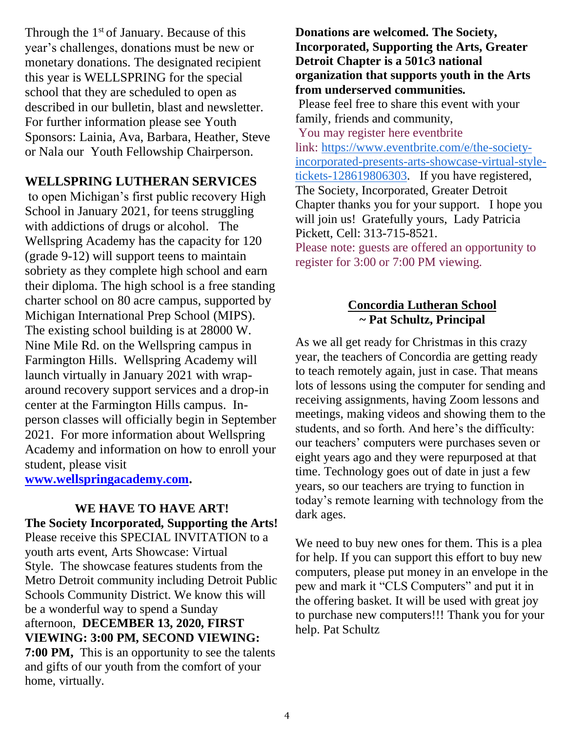Through the  $1<sup>st</sup>$  of January. Because of this year's challenges, donations must be new or monetary donations. The designated recipient this year is WELLSPRING for the special school that they are scheduled to open as described in our bulletin, blast and newsletter. For further information please see Youth Sponsors: Lainia, Ava, Barbara, Heather, Steve or Nala our Youth Fellowship Chairperson.

### **WELLSPRING LUTHERAN SERVICES**

to open Michigan's first public recovery High School in January 2021, for teens struggling with addictions of drugs or alcohol. The Wellspring Academy has the capacity for 120 (grade 9-12) will support teens to maintain sobriety as they complete high school and earn their diploma. The high school is a free standing charter school on 80 acre campus, supported by Michigan International Prep School (MIPS). The existing school building is at 28000 W. Nine Mile Rd. on the Wellspring campus in Farmington Hills. Wellspring Academy will launch virtually in January 2021 with wraparound recovery support services and a drop-in center at the Farmington Hills campus. Inperson classes will officially begin in September 2021. For more information about Wellspring Academy and information on how to enroll your student, please visit

**[www.wellspringacademy.com.](http://www.wellspringacademy.com/)**

**WE HAVE TO HAVE ART! The Society Incorporated, Supporting the Arts!** Please receive this SPECIAL INVITATION to a youth arts event, Arts Showcase: Virtual Style. The showcase features students from the Metro Detroit community including Detroit Public Schools Community District. We know this will be a wonderful way to spend a Sunday afternoon, **DECEMBER 13, 2020, FIRST VIEWING: 3:00 PM, SECOND VIEWING: 7:00 PM,** This is an opportunity to see the talents and gifts of our youth from the comfort of your home, virtually.

**Donations are welcomed. The Society, Incorporated, Supporting the Arts, Greater Detroit Chapter is a 501c3 national organization that supports youth in the Arts from underserved communities.** Please feel free to share this event with your family, friends and community, You may register here eventbrite link: [https://www.eventbrite.com/e/the-society](https://www.eventbrite.com/e/the-society-incorporated-presents-arts-showcase-virtual-style-tickets-128619806303)[incorporated-presents-arts-showcase-virtual-style](https://www.eventbrite.com/e/the-society-incorporated-presents-arts-showcase-virtual-style-tickets-128619806303)[tickets-128619806303.](https://www.eventbrite.com/e/the-society-incorporated-presents-arts-showcase-virtual-style-tickets-128619806303) If you have registered, The Society, Incorporated, Greater Detroit Chapter thanks you for your support. I hope you will join us! Gratefully yours, Lady Patricia Pickett, Cell: 313-715-8521. Please note: guests are offered an opportunity to register for 3:00 or 7:00 PM viewing.

### **Concordia Lutheran School ~ Pat Schultz, Principal**

As we all get ready for Christmas in this crazy year, the teachers of Concordia are getting ready to teach remotely again, just in case. That means lots of lessons using the computer for sending and receiving assignments, having Zoom lessons and meetings, making videos and showing them to the students, and so forth. And here's the difficulty: our teachers' computers were purchases seven or eight years ago and they were repurposed at that time. Technology goes out of date in just a few years, so our teachers are trying to function in today's remote learning with technology from the dark ages.

We need to buy new ones for them. This is a plea for help. If you can support this effort to buy new computers, please put money in an envelope in the pew and mark it "CLS Computers" and put it in the offering basket. It will be used with great joy to purchase new computers!!! Thank you for your help. Pat Schultz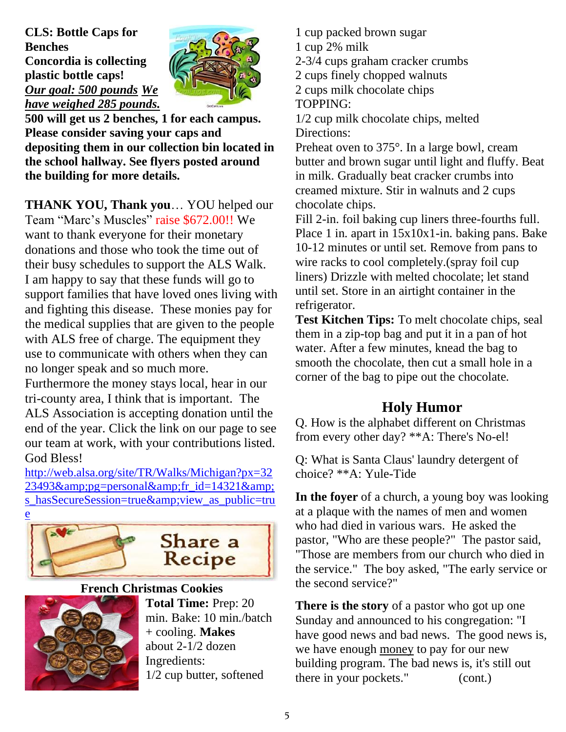**CLS: Bottle Caps for Benches Concordia is collecting plastic bottle caps!** *Our goal: 500 pounds We have weighed 285 pounds.*



**500 will get us 2 benches, 1 for each campus. Please consider saving your caps and depositing them in our collection bin located in the school hallway. See flyers posted around the building for more details.**

**THANK YOU, Thank you**… YOU helped our Team "Marc's Muscles" raise \$672.00!! We want to thank everyone for their monetary donations and those who took the time out of their busy schedules to support the ALS Walk. I am happy to say that these funds will go to support families that have loved ones living with and fighting this disease. These monies pay for the medical supplies that are given to the people with ALS free of charge. The equipment they use to communicate with others when they can no longer speak and so much more.

Furthermore the money stays local, hear in our tri-county area, I think that is important. The ALS Association is accepting donation until the end of the year. Click the link on our page to see our team at work, with your contributions listed. God Bless!

[http://web.alsa.org/site/TR/Walks/Michigan?px=32](http://web.alsa.org/site/TR/Walks/Michigan?px=3223493&pg=personal&fr_id=14321&s_hasSecureSession=true&view_as_public=true) [23493&pg=personal&fr\\_id=14321&](http://web.alsa.org/site/TR/Walks/Michigan?px=3223493&pg=personal&fr_id=14321&s_hasSecureSession=true&view_as_public=true) [s\\_hasSecureSession=true&view\\_as\\_public=tru](http://web.alsa.org/site/TR/Walks/Michigan?px=3223493&pg=personal&fr_id=14321&s_hasSecureSession=true&view_as_public=true)



#### **French Christmas Cookies**



**Total Time:** Prep: 20 min. Bake: 10 min./batch + cooling. **Makes** about 2-1/2 dozen Ingredients: 1/2 cup butter, softened

1 cup packed brown sugar 1 cup 2% milk 2-3/4 cups graham cracker crumbs 2 cups finely chopped walnuts 2 cups milk chocolate chips TOPPING:

1/2 cup milk chocolate chips, melted Directions:

Preheat oven to 375°. In a large bowl, cream butter and brown sugar until light and fluffy. Beat in milk. Gradually beat cracker crumbs into creamed mixture. Stir in walnuts and 2 cups chocolate chips.

Fill 2-in. foil baking cup liners three-fourths full. Place 1 in. apart in 15x10x1-in. baking pans. Bake 10-12 minutes or until set. Remove from pans to wire racks to cool completely.(spray foil cup liners) Drizzle with melted chocolate; let stand until set. Store in an airtight container in the refrigerator.

**Test Kitchen Tips:** To melt chocolate chips, seal them in a zip-top bag and put it in a pan of hot water. After a few minutes, knead the bag to smooth the chocolate, then cut a small hole in a corner of the bag to pipe out the chocolate.

## **Holy Humor**

Q. How is the alphabet different on Christmas from every other day? \*\*A: There's No-el!

Q: What is Santa Claus' laundry detergent of choice? \*\*A: Yule-Tide

**In the foyer** of a church, a young boy was looking at a plaque with the names of men and women who had died in various wars. He asked the pastor, "Who are these people?" The pastor said, "Those are members from our church who died in the service." The boy asked, "The early service or the second service?"

**There is the story** of a pastor who got up one Sunday and announced to his congregation: "I have good news and bad news. The good news is, we have enough [money](https://truthbook.com/stories/funny-men-of-the-cloth/holy-humor) to pay for our new building program. The bad news is, it's still out there in your pockets." (cont.)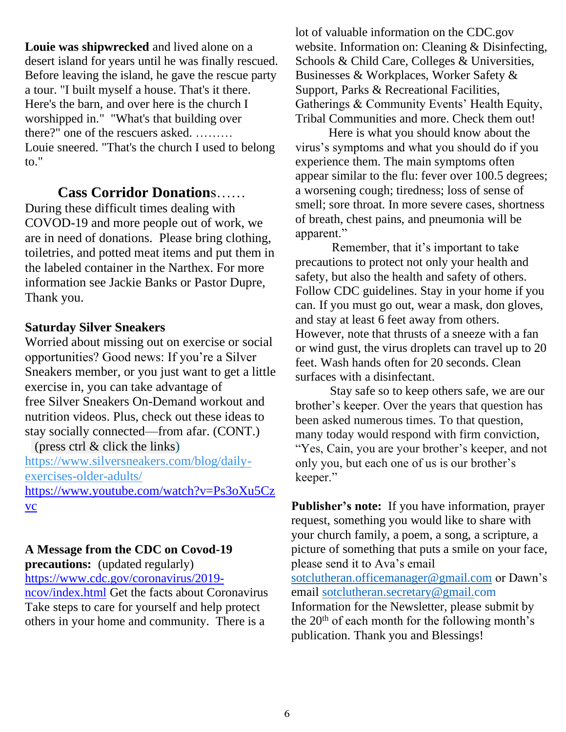**Louie was shipwrecked** and lived alone on a desert island for years until he was finally rescued. Before leaving the island, he gave the rescue party a tour. "I built myself a house. That's it there. Here's the barn, and over here is the church I worshipped in." "What's that building over there?" one of the rescuers asked. ……… Louie sneered. "That's the church I used to belong to."

### **Cass Corridor Donation**s……

During these difficult times dealing with COVOD-19 and more people out of work, we are in need of donations. Please bring clothing, toiletries, and potted meat items and put them in the labeled container in the Narthex. For more information see Jackie Banks or Pastor Dupre, Thank you.

### **Saturday Silver Sneakers**

Worried about missing out on exercise or social opportunities? Good news: If you're a Silver Sneakers member, or you just want to get a little exercise in, you can take advantage of free [Silver Sneakers On-Demand](https://www.silversneakers.com/learn/ondemand/) workout and nutrition videos. Plus, check out these ideas to stay socially connected—from afar. (CONT.) (press ctrl & click the links)

[https://www.silversneakers.com/blog/daily](https://www.silversneakers.com/blog/daily-exercises-older-adults/)[exercises-older-adults/](https://www.silversneakers.com/blog/daily-exercises-older-adults/) [https://www.youtube.com/watch?v=Ps3oXu5Cz](https://www.youtube.com/watch?v=Ps3oXu5Czvc) [vc](https://www.youtube.com/watch?v=Ps3oXu5Czvc)

### **A Message from the CDC on Covod-19**

**precautions:** (updated regularly) [https://www.cdc.gov/coronavirus/2019-](https://www.cdc.gov/coronavirus/2019-ncov/index.html)

[ncov/index.html](https://www.cdc.gov/coronavirus/2019-ncov/index.html) Get the facts about Coronavirus Take steps to care for yourself and help protect others in your home and community. There is a

lot of valuable information on the CDC.gov website. Information on: Cleaning & Disinfecting, Schools & Child Care, Colleges & Universities, Businesses & Workplaces, Worker Safety & Support, Parks & Recreational Facilities, Gatherings & Community Events' Health Equity, Tribal Communities and more. Check them out!

Here is what you should know about the virus's symptoms and what you should do if you experience them. The main symptoms often appear similar to the flu: fever over 100.5 degrees; a worsening cough; tiredness; loss of sense of smell; sore throat. In more severe cases, shortness of breath, chest pains, and pneumonia will be apparent."

Remember, that it's important to take precautions to protect not only your health and safety, but also the health and safety of others. Follow CDC guidelines. Stay in your home if you can. If you must go out, wear a mask, don gloves, and stay at least 6 feet away from others. However, note that thrusts of a sneeze with a fan or wind gust, the virus droplets can travel up to 20 feet. Wash hands often for 20 seconds. Clean surfaces with a disinfectant.

 Stay safe so to keep others safe, we are our brother's keeper. Over the years that question has been asked numerous times. To that question, many today would respond with firm conviction, "Yes, Cain, you are your brother's keeper, and not only you, but each one of us is our brother's keeper."

**Publisher's note:** If you have information, prayer request, something you would like to share with your church family, a poem, a song, a scripture, a picture of something that puts a smile on your face, please send it to Ava's email [sotclutheran.officemanager@gmail.com](mailto:sotclutheran.officemanager@gmail.com) or Dawn's email [sotclutheran.secretary@gmail.com](mailto:sotclutheran.secretary@gmail.com) Information for the Newsletter, please submit by the  $20<sup>th</sup>$  of each month for the following month's publication. Thank you and Blessings!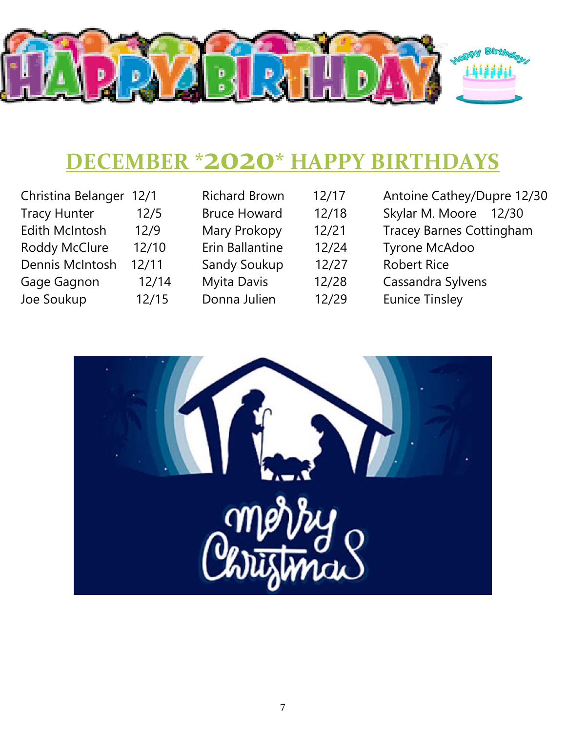

## **DECEMBER \*2020\* HAPPY BIRTHDAYS**

| Christina Belanger 12/1 |       |
|-------------------------|-------|
| <b>Tracy Hunter</b>     | 12/5  |
| <b>Edith McIntosh</b>   | 12/9  |
| <b>Roddy McClure</b>    | 12/10 |
| Dennis McIntosh         | 12/11 |
| Gage Gagnon             | 12/14 |
| Joe Soukup              | 12/15 |
|                         |       |

| <b>Richard Brown</b> |  |  |  |  |
|----------------------|--|--|--|--|
| <b>Bruce Howard</b>  |  |  |  |  |
| Mary Prokopy         |  |  |  |  |
| Erin Ballantine      |  |  |  |  |
| <b>Sandy Soukup</b>  |  |  |  |  |
| Myita Davis          |  |  |  |  |
| Donna Julien         |  |  |  |  |
|                      |  |  |  |  |

 $12/17$  $12/18$  $12/21$  $12/24$  $12/27$  $12/28$  $12/29$ 

- Antoine Cathey/Dupre 12/30 Skylar M. Moore 12/30 Tracey Barnes Cottingham Tyrone McAdoo Robert Rice Cassandra Sylvens
- Eunice Tinsley